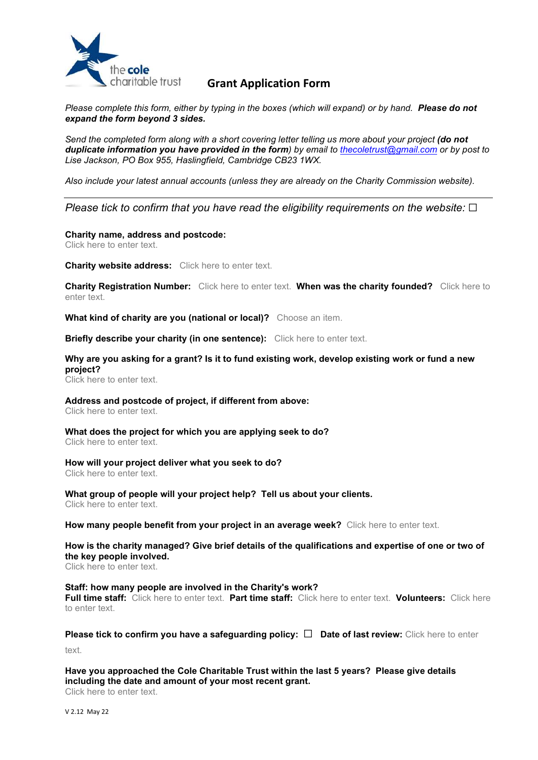

# charitable trust **Grant Application Form**

Please complete this form, either by typing in the boxes (which will expand) or by hand. Please do not expand the form beyond 3 sides.

Send the completed form along with a short covering letter telling us more about your project (do not duplicate information you have provided in the form) by email to thecoletrust@gmail.com or by post to Lise Jackson, PO Box 955, Haslingfield, Cambridge CB23 1WX.

Also include your latest annual accounts (unless they are already on the Charity Commission website).

# Please tick to confirm that you have read the eligibility requirements on the website:  $\Box$

### Charity name, address and postcode:

Click here to enter text.

### **Charity website address:** Click here to enter text.

Charity Registration Number: Click here to enter text. When was the charity founded? Click here to enter text.

What kind of charity are you (national or local)? Choose an item.

Briefly describe your charity (in one sentence): Click here to enter text.

## Why are you asking for a grant? Is it to fund existing work, develop existing work or fund a new project?

Click here to enter text.

# Address and postcode of project, if different from above:

Click here to enter text.

### What does the project for which you are applying seek to do? Click here to enter text.

## How will your project deliver what you seek to do?

Click here to enter text.

#### What group of people will your project help? Tell us about your clients. Click here to enter text.

How many people benefit from your project in an average week? Click here to enter text.

# How is the charity managed? Give brief details of the qualifications and expertise of one or two of the key people involved.

Click here to enter text.

### Staff: how many people are involved in the Charity's work?

Full time staff: Click here to enter text. Part time staff: Click here to enter text. Volunteers: Click here to enter text.

# Please tick to confirm you have a safeguarding policy:  $\square$  Date of last review: Click here to enter

text.

# Have you approached the Cole Charitable Trust within the last 5 years? Please give details including the date and amount of your most recent grant.

Click here to enter text.

V 2.12 May 22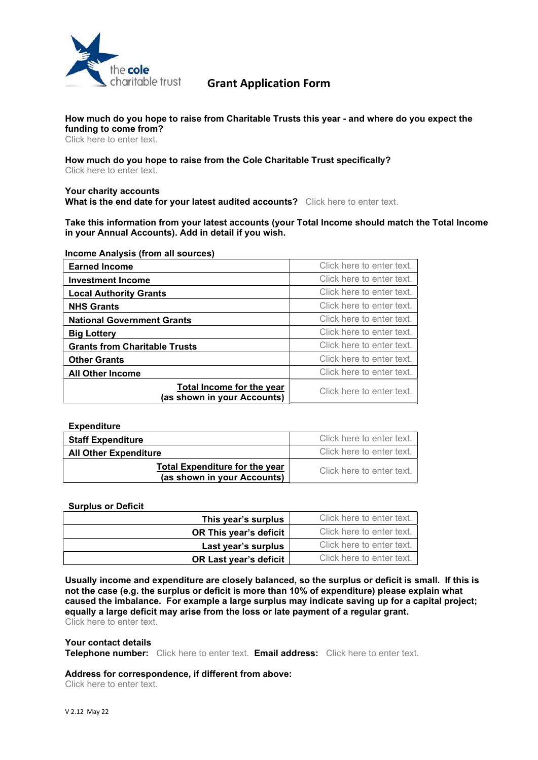

# charitable trust **Grant Application Form**

### How much do you hope to raise from Charitable Trusts this year - and where do you expect the funding to come from?

Click here to enter text.

How much do you hope to raise from the Cole Charitable Trust specifically? Click here to enter text.

### Your charity accounts What is the end date for your latest audited accounts? Click here to enter text.

Take this information from your latest accounts (your Total Income should match the Total Income in your Annual Accounts). Add in detail if you wish.

### Income Analysis (from all sources)

| <b>Earned Income</b>                                     | Click here to enter text. |
|----------------------------------------------------------|---------------------------|
| <b>Investment Income</b>                                 | Click here to enter text. |
| <b>Local Authority Grants</b>                            | Click here to enter text. |
| <b>NHS Grants</b>                                        | Click here to enter text. |
| <b>National Government Grants</b>                        | Click here to enter text. |
| <b>Big Lottery</b>                                       | Click here to enter text. |
| <b>Grants from Charitable Trusts</b>                     | Click here to enter text. |
| <b>Other Grants</b>                                      | Click here to enter text. |
| <b>All Other Income</b>                                  | Click here to enter text. |
| Total Income for the year<br>(as shown in your Accounts) | Click here to enter text. |

| <b>Expenditure</b>                    |                           |
|---------------------------------------|---------------------------|
| <b>Staff Expenditure</b>              | Click here to enter text. |
| <b>All Other Expenditure</b>          | Click here to enter text. |
| <b>Total Expenditure for the year</b> | Click here to enter text. |
| (as shown in your Accounts)           |                           |

### Surplus or Deficit

| This year's surplus    | Click here to enter text. |
|------------------------|---------------------------|
| OR This year's deficit | Click here to enter text. |
| Last year's surplus    | Click here to enter text. |
| OR Last year's deficit | Click here to enter text. |

Usually income and expenditure are closely balanced, so the surplus or deficit is small. If this is not the case (e.g. the surplus or deficit is more than 10% of expenditure) please explain what caused the imbalance. For example a large surplus may indicate saving up for a capital project; equally a large deficit may arise from the loss or late payment of a regular grant. Click here to enter text.

### Your contact details

Telephone number: Click here to enter text. Email address: Click here to enter text.

### Address for correspondence, if different from above:

Click here to enter text.